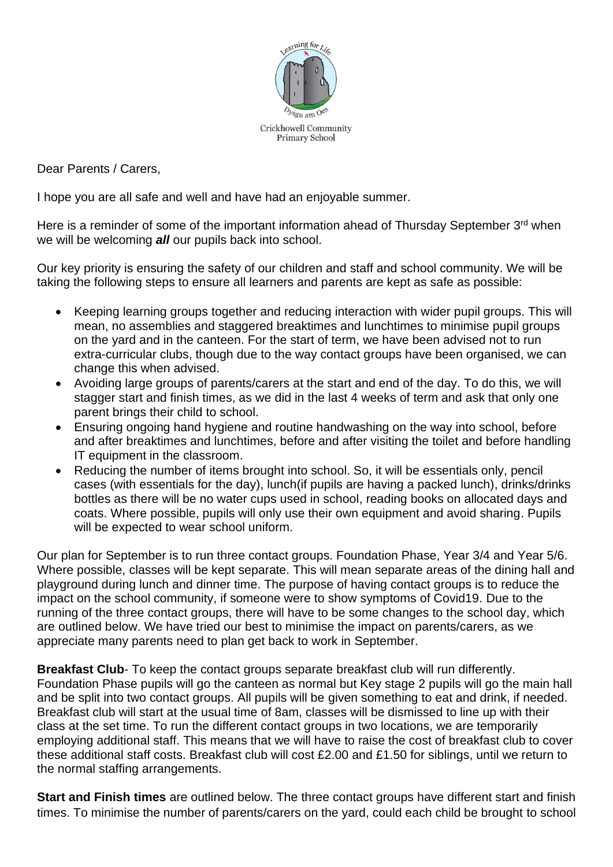

Dear Parents / Carers,

I hope you are all safe and well and have had an enjoyable summer.

Here is a reminder of some of the important information ahead of Thursday September 3<sup>rd</sup> when we will be welcoming *all* our pupils back into school.

Our key priority is ensuring the safety of our children and staff and school community. We will be taking the following steps to ensure all learners and parents are kept as safe as possible:

- Keeping learning groups together and reducing interaction with wider pupil groups. This will mean, no assemblies and staggered breaktimes and lunchtimes to minimise pupil groups on the yard and in the canteen. For the start of term, we have been advised not to run extra-curricular clubs, though due to the way contact groups have been organised, we can change this when advised.
- Avoiding large groups of parents/carers at the start and end of the day. To do this, we will stagger start and finish times, as we did in the last 4 weeks of term and ask that only one parent brings their child to school.
- Ensuring ongoing hand hygiene and routine handwashing on the way into school, before and after breaktimes and lunchtimes, before and after visiting the toilet and before handling IT equipment in the classroom.
- Reducing the number of items brought into school. So, it will be essentials only, pencil cases (with essentials for the day), lunch(if pupils are having a packed lunch), drinks/drinks bottles as there will be no water cups used in school, reading books on allocated days and coats. Where possible, pupils will only use their own equipment and avoid sharing. Pupils will be expected to wear school uniform.

Our plan for September is to run three contact groups. Foundation Phase, Year 3/4 and Year 5/6. Where possible, classes will be kept separate. This will mean separate areas of the dining hall and playground during lunch and dinner time. The purpose of having contact groups is to reduce the impact on the school community, if someone were to show symptoms of Covid19. Due to the running of the three contact groups, there will have to be some changes to the school day, which are outlined below. We have tried our best to minimise the impact on parents/carers, as we appreciate many parents need to plan get back to work in September.

**Breakfast Club-** To keep the contact groups separate breakfast club will run differently. Foundation Phase pupils will go the canteen as normal but Key stage 2 pupils will go the main hall and be split into two contact groups. All pupils will be given something to eat and drink, if needed. Breakfast club will start at the usual time of 8am, classes will be dismissed to line up with their class at the set time. To run the different contact groups in two locations, we are temporarily employing additional staff. This means that we will have to raise the cost of breakfast club to cover these additional staff costs. Breakfast club will cost £2.00 and £1.50 for siblings, until we return to the normal staffing arrangements.

**Start and Finish times** are outlined below. The three contact groups have different start and finish times. To minimise the number of parents/carers on the yard, could each child be brought to school